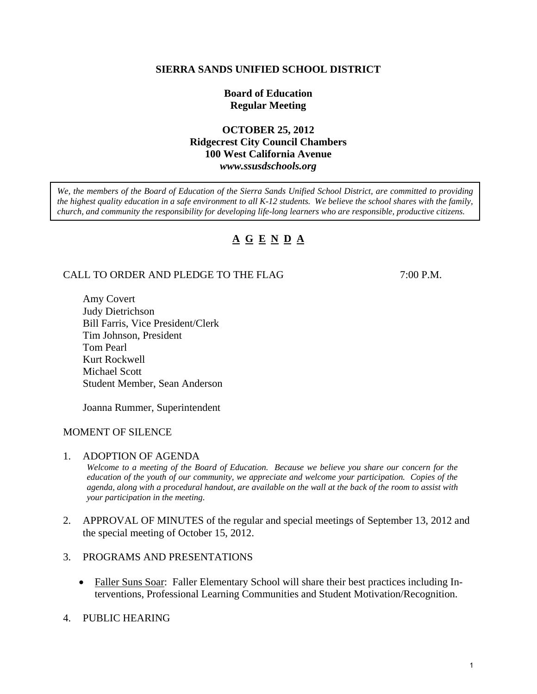## **SIERRA SANDS UNIFIED SCHOOL DISTRICT**

## **Board of Education Regular Meeting**

## **OCTOBER 25, 2012 Ridgecrest City Council Chambers 100 West California Avenue**  *www.ssusdschools.org*

*We, the members of the Board of Education of the Sierra Sands Unified School District, are committed to providing the highest quality education in a safe environment to all K-12 students. We believe the school shares with the family, church, and community the responsibility for developing life-long learners who are responsible, productive citizens.* 

# **A G E N D A**

## CALL TO ORDER AND PLEDGE TO THE FLAG 7:00 P.M.

 Amy Covert Judy Dietrichson Bill Farris, Vice President/Clerk Tim Johnson, President Tom Pearl Kurt Rockwell Michael Scott Student Member, Sean Anderson

Joanna Rummer, Superintendent

## MOMENT OF SILENCE

1. ADOPTION OF AGENDA

*Welcome to a meeting of the Board of Education. Because we believe you share our concern for the education of the youth of our community, we appreciate and welcome your participation. Copies of the agenda, along with a procedural handout, are available on the wall at the back of the room to assist with your participation in the meeting.* 

- 2. APPROVAL OF MINUTES of the regular and special meetings of September 13, 2012 and the special meeting of October 15, 2012.
- 3. PROGRAMS AND PRESENTATIONS
	- Faller Suns Soar: Faller Elementary School will share their best practices including Interventions, Professional Learning Communities and Student Motivation/Recognition.
- 4. PUBLIC HEARING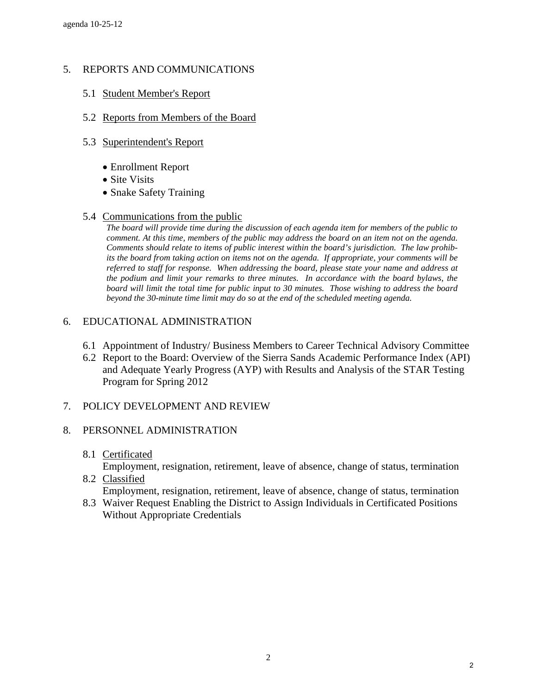# 5. REPORTS AND COMMUNICATIONS

- 5.1 Student Member's Report
- 5.2 Reports from Members of the Board
- 5.3 Superintendent's Report
	- Enrollment Report
	- Site Visits
	- Snake Safety Training
- 5.4 Communications from the public

*The board will provide time during the discussion of each agenda item for members of the public to comment. At this time, members of the public may address the board on an item not on the agenda. Comments should relate to items of public interest within the board's jurisdiction. The law prohibits the board from taking action on items not on the agenda. If appropriate, your comments will be referred to staff for response. When addressing the board, please state your name and address at the podium and limit your remarks to three minutes. In accordance with the board bylaws, the board will limit the total time for public input to 30 minutes. Those wishing to address the board beyond the 30-minute time limit may do so at the end of the scheduled meeting agenda.* 

## 6. EDUCATIONAL ADMINISTRATION

- 6.1 Appointment of Industry/ Business Members to Career Technical Advisory Committee
- 6.2 Report to the Board: Overview of the Sierra Sands Academic Performance Index (API) and Adequate Yearly Progress (AYP) with Results and Analysis of the STAR Testing Program for Spring 2012

# 7. POLICY DEVELOPMENT AND REVIEW

## 8. PERSONNEL ADMINISTRATION

8.1 Certificated

Employment, resignation, retirement, leave of absence, change of status, termination

- 8.2 Classified Employment, resignation, retirement, leave of absence, change of status, termination
- 8.3 Waiver Request Enabling the District to Assign Individuals in Certificated Positions Without Appropriate Credentials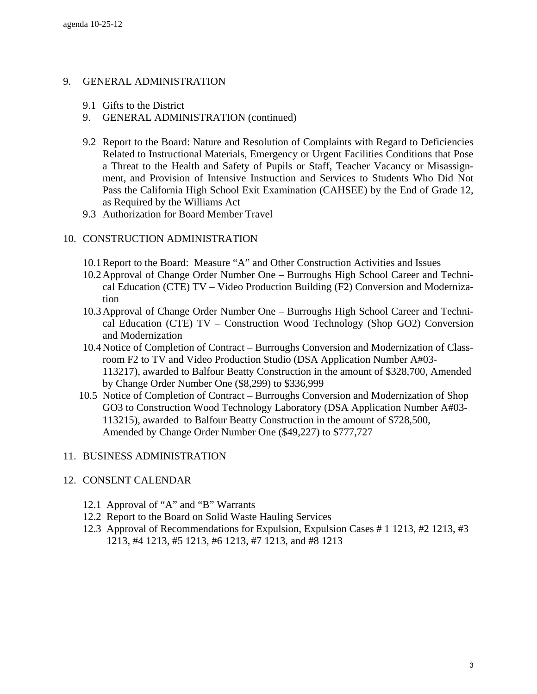## 9. GENERAL ADMINISTRATION

- 9.1 Gifts to the District
- 9. GENERAL ADMINISTRATION (continued)
- 9.2 Report to the Board: Nature and Resolution of Complaints with Regard to Deficiencies Related to Instructional Materials, Emergency or Urgent Facilities Conditions that Pose a Threat to the Health and Safety of Pupils or Staff, Teacher Vacancy or Misassignment, and Provision of Intensive Instruction and Services to Students Who Did Not Pass the California High School Exit Examination (CAHSEE) by the End of Grade 12, as Required by the Williams Act
- 9.3 Authorization for Board Member Travel

## 10. CONSTRUCTION ADMINISTRATION

- 10.1 Report to the Board: Measure "A" and Other Construction Activities and Issues
- 10.2 Approval of Change Order Number One Burroughs High School Career and Technical Education (CTE) TV – Video Production Building (F2) Conversion and Modernization
- 10.3 Approval of Change Order Number One Burroughs High School Career and Technical Education (CTE) TV – Construction Wood Technology (Shop GO2) Conversion and Modernization
- 10.4 Notice of Completion of Contract Burroughs Conversion and Modernization of Classroom F2 to TV and Video Production Studio (DSA Application Number A#03- 113217), awarded to Balfour Beatty Construction in the amount of \$328,700, Amended by Change Order Number One (\$8,299) to \$336,999
- 10.5 Notice of Completion of Contract Burroughs Conversion and Modernization of Shop GO3 to Construction Wood Technology Laboratory (DSA Application Number A#03- 113215), awarded to Balfour Beatty Construction in the amount of \$728,500, Amended by Change Order Number One (\$49,227) to \$777,727

## 11. BUSINESS ADMINISTRATION

### 12. CONSENT CALENDAR

- 12.1 Approval of "A" and "B" Warrants
- 12.2 Report to the Board on Solid Waste Hauling Services
- 12.3 Approval of Recommendations for Expulsion, Expulsion Cases # 1 1213, #2 1213, #3 1213, #4 1213, #5 1213, #6 1213, #7 1213, and #8 1213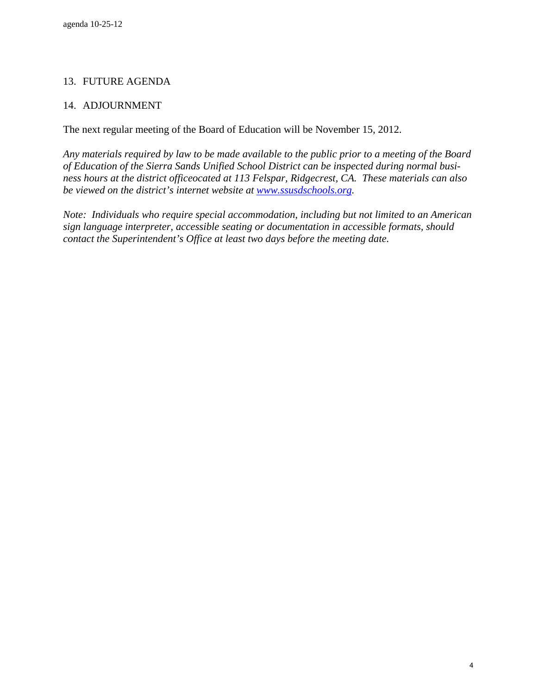# 13. FUTURE AGENDA

# 14. ADJOURNMENT

The next regular meeting of the Board of Education will be November 15, 2012.

*Any materials required by law to be made available to the public prior to a meeting of the Board of Education of the Sierra Sands Unified School District can be inspected during normal business hours at the district officeocated at 113 Felspar, Ridgecrest, CA. These materials can also be viewed on the district's internet website at [www.ssusdschools.org](http://www.ssusdschools.org/).* 

*Note: Individuals who require special accommodation, including but not limited to an American sign language interpreter, accessible seating or documentation in accessible formats, should contact the Superintendent's Office at least two days before the meeting date.*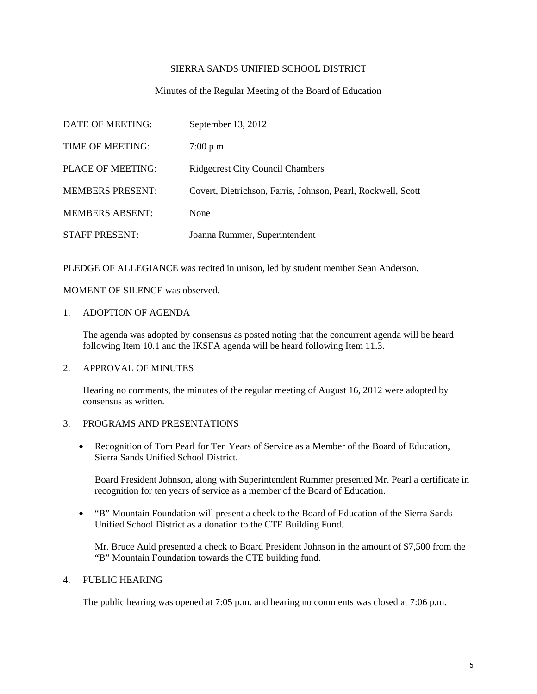### SIERRA SANDS UNIFIED SCHOOL DISTRICT

### Minutes of the Regular Meeting of the Board of Education

| DATE OF MEETING:        | September 13, 2012                                           |
|-------------------------|--------------------------------------------------------------|
| TIME OF MEETING:        | $7:00$ p.m.                                                  |
| PLACE OF MEETING:       | <b>Ridgecrest City Council Chambers</b>                      |
| <b>MEMBERS PRESENT:</b> | Covert, Dietrichson, Farris, Johnson, Pearl, Rockwell, Scott |
| <b>MEMBERS ABSENT:</b>  | None                                                         |
| <b>STAFF PRESENT:</b>   | Joanna Rummer, Superintendent                                |

PLEDGE OF ALLEGIANCE was recited in unison, led by student member Sean Anderson.

MOMENT OF SILENCE was observed.

1. ADOPTION OF AGENDA

The agenda was adopted by consensus as posted noting that the concurrent agenda will be heard following Item 10.1 and the IKSFA agenda will be heard following Item 11.3.

### 2. APPROVAL OF MINUTES

Hearing no comments, the minutes of the regular meeting of August 16, 2012 were adopted by consensus as written.

### 3. PROGRAMS AND PRESENTATIONS

• Recognition of Tom Pearl for Ten Years of Service as a Member of the Board of Education, Sierra Sands Unified School District.

 Board President Johnson, along with Superintendent Rummer presented Mr. Pearl a certificate in recognition for ten years of service as a member of the Board of Education.

• "B" Mountain Foundation will present a check to the Board of Education of the Sierra Sands Unified School District as a donation to the CTE Building Fund.

 Mr. Bruce Auld presented a check to Board President Johnson in the amount of \$7,500 from the "B" Mountain Foundation towards the CTE building fund.

### 4. PUBLIC HEARING

The public hearing was opened at 7:05 p.m. and hearing no comments was closed at 7:06 p.m.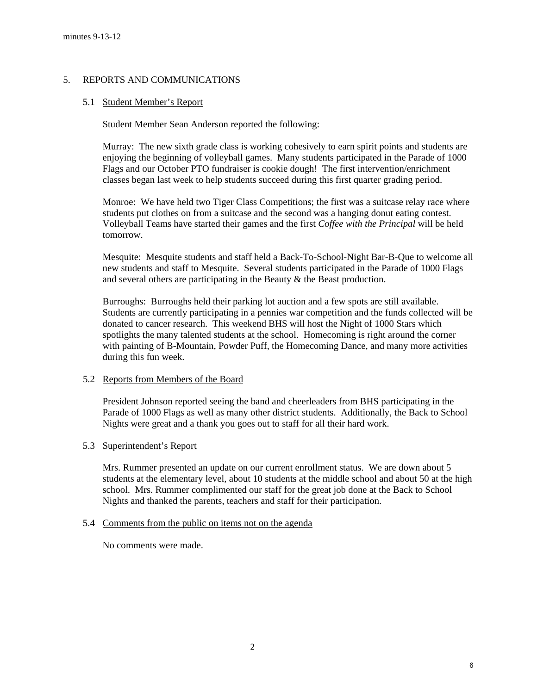### 5. REPORTS AND COMMUNICATIONS

### 5.1 Student Member's Report

Student Member Sean Anderson reported the following:

 Murray: The new sixth grade class is working cohesively to earn spirit points and students are enjoying the beginning of volleyball games. Many students participated in the Parade of 1000 Flags and our October PTO fundraiser is cookie dough! The first intervention/enrichment classes began last week to help students succeed during this first quarter grading period.

 Monroe: We have held two Tiger Class Competitions; the first was a suitcase relay race where students put clothes on from a suitcase and the second was a hanging donut eating contest. Volleyball Teams have started their games and the first *Coffee with the Principal* will be held tomorrow.

 Mesquite: Mesquite students and staff held a Back-To-School-Night Bar-B-Que to welcome all new students and staff to Mesquite. Several students participated in the Parade of 1000 Flags and several others are participating in the Beauty & the Beast production.

 Burroughs: Burroughs held their parking lot auction and a few spots are still available. Students are currently participating in a pennies war competition and the funds collected will be donated to cancer research. This weekend BHS will host the Night of 1000 Stars which spotlights the many talented students at the school. Homecoming is right around the corner with painting of B-Mountain, Powder Puff, the Homecoming Dance, and many more activities during this fun week.

### 5.2 Reports from Members of the Board

 President Johnson reported seeing the band and cheerleaders from BHS participating in the Parade of 1000 Flags as well as many other district students. Additionally, the Back to School Nights were great and a thank you goes out to staff for all their hard work.

### 5.3 Superintendent's Report

 Mrs. Rummer presented an update on our current enrollment status. We are down about 5 students at the elementary level, about 10 students at the middle school and about 50 at the high school. Mrs. Rummer complimented our staff for the great job done at the Back to School Nights and thanked the parents, teachers and staff for their participation.

### 5.4 Comments from the public on items not on the agenda

No comments were made.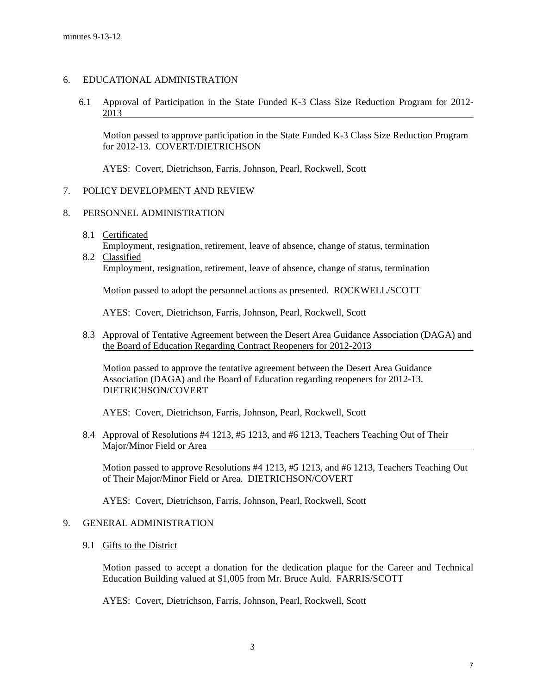### 6. EDUCATIONAL ADMINISTRATION

6.1 Approval of Participation in the State Funded K-3 Class Size Reduction Program for 2012- 2013

Motion passed to approve participation in the State Funded K-3 Class Size Reduction Program for 2012-13. COVERT/DIETRICHSON

AYES: Covert, Dietrichson, Farris, Johnson, Pearl, Rockwell, Scott

### 7. POLICY DEVELOPMENT AND REVIEW

### 8. PERSONNEL ADMINISTRATION

8.1 Certificated

 Employment, resignation, retirement, leave of absence, change of status, termination 8.2 Classified

Employment, resignation, retirement, leave of absence, change of status, termination

Motion passed to adopt the personnel actions as presented. ROCKWELL/SCOTT

AYES: Covert, Dietrichson, Farris, Johnson, Pearl, Rockwell, Scott

8.3 Approval of Tentative Agreement between the Desert Area Guidance Association (DAGA) and the Board of Education Regarding Contract Reopeners for 2012-2013

 Motion passed to approve the tentative agreement between the Desert Area Guidance Association (DAGA) and the Board of Education regarding reopeners for 2012-13. DIETRICHSON/COVERT

AYES: Covert, Dietrichson, Farris, Johnson, Pearl, Rockwell, Scott

8.4 Approval of Resolutions #4 1213, #5 1213, and #6 1213, Teachers Teaching Out of Their Major/Minor Field or Area

 Motion passed to approve Resolutions #4 1213, #5 1213, and #6 1213, Teachers Teaching Out of Their Major/Minor Field or Area. DIETRICHSON/COVERT

AYES: Covert, Dietrichson, Farris, Johnson, Pearl, Rockwell, Scott

### 9. GENERAL ADMINISTRATION

9.1 Gifts to the District

Motion passed to accept a donation for the dedication plaque for the Career and Technical Education Building valued at \$1,005 from Mr. Bruce Auld. FARRIS/SCOTT

AYES: Covert, Dietrichson, Farris, Johnson, Pearl, Rockwell, Scott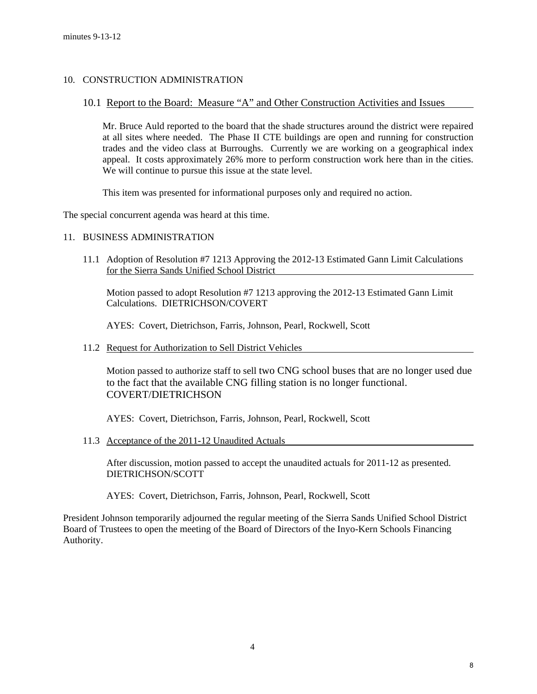### 10. CONSTRUCTION ADMINISTRATION

### 10.1 Report to the Board: Measure "A" and Other Construction Activities and Issues

 Mr. Bruce Auld reported to the board that the shade structures around the district were repaired at all sites where needed. The Phase II CTE buildings are open and running for construction trades and the video class at Burroughs. Currently we are working on a geographical index appeal. It costs approximately 26% more to perform construction work here than in the cities. We will continue to pursue this issue at the state level.

This item was presented for informational purposes only and required no action.

The special concurrent agenda was heard at this time.

### 11. BUSINESS ADMINISTRATION

11.1 Adoption of Resolution #7 1213 Approving the 2012-13 Estimated Gann Limit Calculations for the Sierra Sands Unified School District

 Motion passed to adopt Resolution #7 1213 approving the 2012-13 Estimated Gann Limit Calculations. DIETRICHSON/COVERT

AYES: Covert, Dietrichson, Farris, Johnson, Pearl, Rockwell, Scott

11.2 Request for Authorization to Sell District Vehicles

 Motion passed to authorize staff to sell two CNG school buses that are no longer used due to the fact that the available CNG filling station is no longer functional. COVERT/DIETRICHSON

AYES: Covert, Dietrichson, Farris, Johnson, Pearl, Rockwell, Scott

11.3 Acceptance of the 2011-12 Unaudited Actuals

 After discussion, motion passed to accept the unaudited actuals for 2011-12 as presented. DIETRICHSON/SCOTT

AYES: Covert, Dietrichson, Farris, Johnson, Pearl, Rockwell, Scott

President Johnson temporarily adjourned the regular meeting of the Sierra Sands Unified School District Board of Trustees to open the meeting of the Board of Directors of the Inyo-Kern Schools Financing Authority.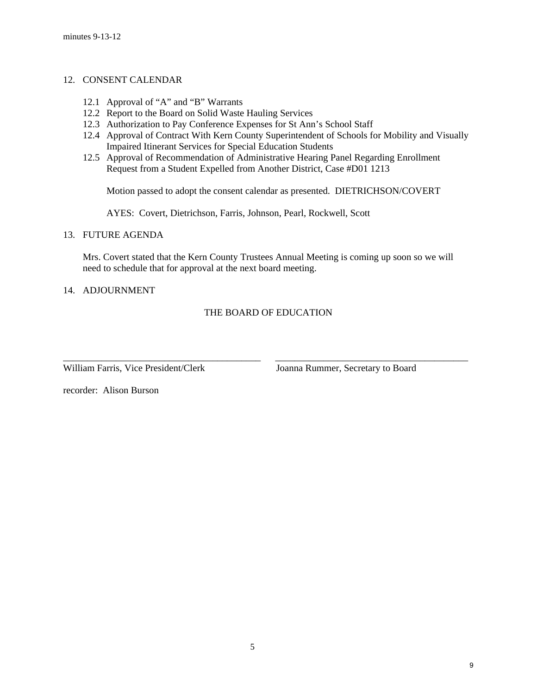### 12. CONSENT CALENDAR

- 12.1 Approval of "A" and "B" Warrants
- 12.2 Report to the Board on Solid Waste Hauling Services
- 12.3 Authorization to Pay Conference Expenses for St Ann's School Staff
- 12.4 Approval of Contract With Kern County Superintendent of Schools for Mobility and Visually Impaired Itinerant Services for Special Education Students
- 12.5 Approval of Recommendation of Administrative Hearing Panel Regarding Enrollment Request from a Student Expelled from Another District, Case #D01 1213

Motion passed to adopt the consent calendar as presented. DIETRICHSON/COVERT

AYES: Covert, Dietrichson, Farris, Johnson, Pearl, Rockwell, Scott

### 13. FUTURE AGENDA

 Mrs. Covert stated that the Kern County Trustees Annual Meeting is coming up soon so we will need to schedule that for approval at the next board meeting.

### 14. ADJOURNMENT

### THE BOARD OF EDUCATION

\_\_\_\_\_\_\_\_\_\_\_\_\_\_\_\_\_\_\_\_\_\_\_\_\_\_\_\_\_\_\_\_\_\_\_\_\_\_\_\_\_ \_\_\_\_\_\_\_\_\_\_\_\_\_\_\_\_\_\_\_\_\_\_\_\_\_\_\_\_\_\_\_\_\_\_\_\_\_\_\_\_

William Farris, Vice President/Clerk Joanna Rummer, Secretary to Board

recorder: Alison Burson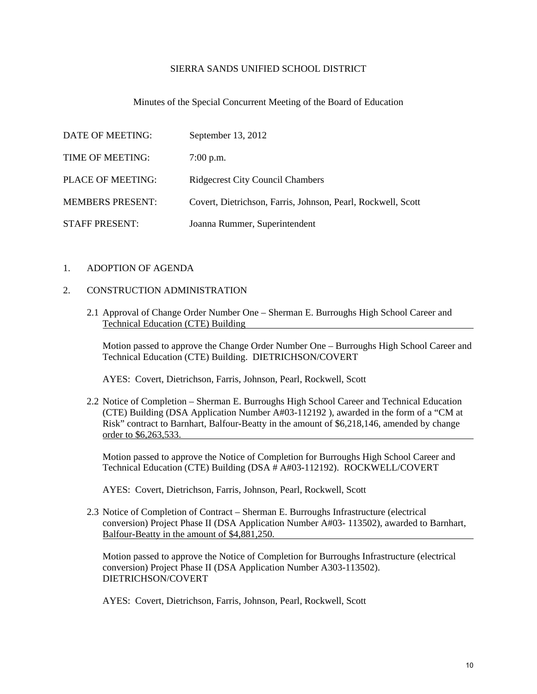### SIERRA SANDS UNIFIED SCHOOL DISTRICT

### Minutes of the Special Concurrent Meeting of the Board of Education

| DATE OF MEETING:        | September 13, 2012                                           |
|-------------------------|--------------------------------------------------------------|
| TIME OF MEETING:        | $7:00$ p.m.                                                  |
| PLACE OF MEETING:       | <b>Ridgecrest City Council Chambers</b>                      |
| <b>MEMBERS PRESENT:</b> | Covert, Dietrichson, Farris, Johnson, Pearl, Rockwell, Scott |
| <b>STAFF PRESENT:</b>   | Joanna Rummer, Superintendent                                |

### 1. ADOPTION OF AGENDA

### 2. CONSTRUCTION ADMINISTRATION

2.1 Approval of Change Order Number One – Sherman E. Burroughs High School Career and Technical Education (CTE) Building

 Motion passed to approve the Change Order Number One – Burroughs High School Career and Technical Education (CTE) Building. DIETRICHSON/COVERT

AYES: Covert, Dietrichson, Farris, Johnson, Pearl, Rockwell, Scott

2.2 Notice of Completion – Sherman E. Burroughs High School Career and Technical Education (CTE) Building (DSA Application Number A#03-112192 ), awarded in the form of a "CM at Risk" contract to Barnhart, Balfour-Beatty in the amount of \$6,218,146, amended by change order to \$6,263,533.

 Motion passed to approve the Notice of Completion for Burroughs High School Career and Technical Education (CTE) Building (DSA # A#03-112192). ROCKWELL/COVERT

AYES: Covert, Dietrichson, Farris, Johnson, Pearl, Rockwell, Scott

2.3 Notice of Completion of Contract – Sherman E. Burroughs Infrastructure (electrical conversion) Project Phase II (DSA Application Number A#03- 113502), awarded to Barnhart, Balfour-Beatty in the amount of \$4,881,250.

 Motion passed to approve the Notice of Completion for Burroughs Infrastructure (electrical conversion) Project Phase II (DSA Application Number A303-113502). DIETRICHSON/COVERT

AYES: Covert, Dietrichson, Farris, Johnson, Pearl, Rockwell, Scott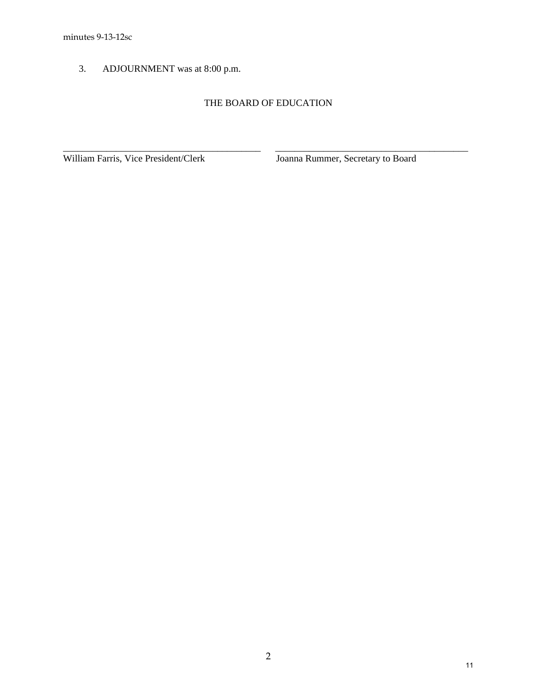3. ADJOURNMENT was at 8:00 p.m.

# THE BOARD OF EDUCATION

\_\_\_\_\_\_\_\_\_\_\_\_\_\_\_\_\_\_\_\_\_\_\_\_\_\_\_\_\_\_\_\_\_\_\_\_\_\_\_\_\_ \_\_\_\_\_\_\_\_\_\_\_\_\_\_\_\_\_\_\_\_\_\_\_\_\_\_\_\_\_\_\_\_\_\_\_\_\_\_\_\_

William Farris, Vice President/Clerk Joanna Rummer, Secretary to Board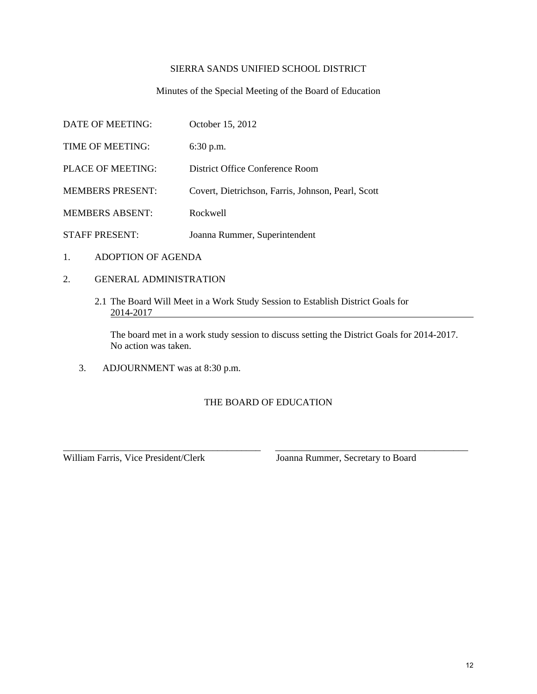### SIERRA SANDS UNIFIED SCHOOL DISTRICT

### Minutes of the Special Meeting of the Board of Education

| DATE OF MEETING:        | October 15, 2012                                   |
|-------------------------|----------------------------------------------------|
| TIME OF MEETING:        | $6:30$ p.m.                                        |
| PLACE OF MEETING:       | District Office Conference Room                    |
| <b>MEMBERS PRESENT:</b> | Covert, Dietrichson, Farris, Johnson, Pearl, Scott |
| <b>MEMBERS ABSENT:</b>  | Rockwell                                           |
| <b>STAFF PRESENT:</b>   | Joanna Rummer, Superintendent                      |

- 1. ADOPTION OF AGENDA
- 2. GENERAL ADMINISTRATION
	- 2.1 The Board Will Meet in a Work Study Session to Establish District Goals for 2014-2017

 The board met in a work study session to discuss setting the District Goals for 2014-2017. No action was taken.

3. ADJOURNMENT was at 8:30 p.m.

## THE BOARD OF EDUCATION

\_\_\_\_\_\_\_\_\_\_\_\_\_\_\_\_\_\_\_\_\_\_\_\_\_\_\_\_\_\_\_\_\_\_\_\_\_\_\_\_\_ \_\_\_\_\_\_\_\_\_\_\_\_\_\_\_\_\_\_\_\_\_\_\_\_\_\_\_\_\_\_\_\_\_\_\_\_\_\_\_\_

William Farris, Vice President/Clerk Joanna Rummer, Secretary to Board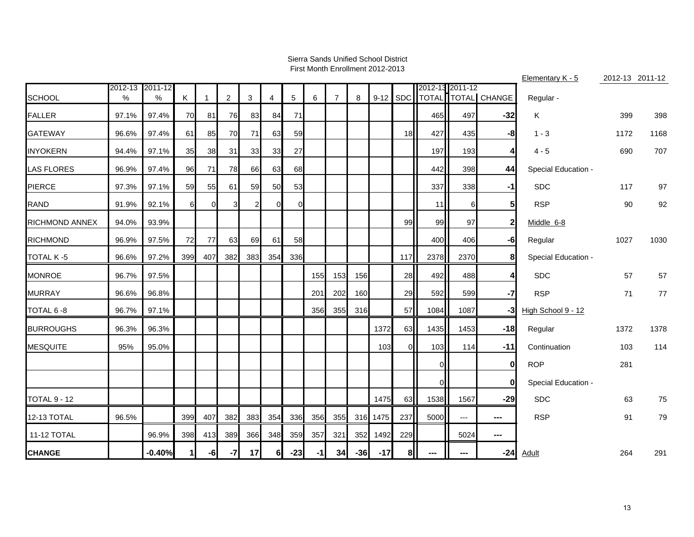#### Sierra Sands Unified School DistrictFirst Month Enrollment 2012-2013

|                       |                 |          |     |          |                |     |                |                 |      |                |       |          |            |                 |      |                          | Elementary K - 5    |      | 2012-13 2011-12 |
|-----------------------|-----------------|----------|-----|----------|----------------|-----|----------------|-----------------|------|----------------|-------|----------|------------|-----------------|------|--------------------------|---------------------|------|-----------------|
|                       | 2012-13 2011-12 |          |     |          |                |     |                | $5\phantom{.0}$ |      | $\overline{7}$ | 8     | $9 - 12$ | <b>SDC</b> | 2012-13 2011-12 |      | TOTAL TOTAL CHANGE       |                     |      |                 |
| <b>SCHOOL</b>         | $\%$            | %        | Κ   | 1        | $\overline{c}$ | 3   | 4              |                 | 6    |                |       |          |            |                 |      |                          | Regular -           |      |                 |
| <b>FALLER</b>         | 97.1%           | 97.4%    | 70  | 81       | 76             | 83  | 84             | 71              |      |                |       |          |            | 465             | 497  | $-32$                    | Κ                   | 399  | 398             |
| <b>GATEWAY</b>        | 96.6%           | 97.4%    | 61  | 85       | 70             | 71  | 63             | 59              |      |                |       |          | 18         | 427             | 435  | -81                      | $1 - 3$             | 1172 | 1168            |
| <b>INYOKERN</b>       | 94.4%           | 97.1%    | 35  | 38       | 31             | 33  | 33             | 27              |      |                |       |          |            | 197             | 193  | 4                        | $4 - 5$             | 690  | 707             |
| <b>LAS FLORES</b>     | 96.9%           | 97.4%    | 96  | 71       | 78             | 66  | 63             | 68              |      |                |       |          |            | 442             | 398  | 44                       | Special Education - |      |                 |
| <b>PIERCE</b>         | 97.3%           | 97.1%    | 59  | 55       | 61             | 59  | 50             | 53              |      |                |       |          |            | 337             | 338  | $-1$                     | <b>SDC</b>          | 117  | 97              |
| <b>RAND</b>           | 91.9%           | 92.1%    | 6   | $\Omega$ | 3 <sup>l</sup> | 2   | $\Omega$       | $\Omega$        |      |                |       |          |            | 11              | 61   | 5                        | <b>RSP</b>          | 90   | 92              |
| <b>RICHMOND ANNEX</b> | 94.0%           | 93.9%    |     |          |                |     |                |                 |      |                |       |          | 99         | 99              | 97   | $\mathbf 2$              | Middle 6-8          |      |                 |
| <b>RICHMOND</b>       | 96.9%           | 97.5%    | 72  | 77       | 63             | 69  | 61             | 58              |      |                |       |          |            | 400             | 406  | -6                       | Regular             | 1027 | 1030            |
| <b>TOTAL K-5</b>      | 96.6%           | 97.2%    | 399 | 407      | 382            | 383 | 354            | 336             |      |                |       |          | 117        | 2378            | 2370 | 8                        | Special Education - |      |                 |
| <b>MONROE</b>         | 96.7%           | 97.5%    |     |          |                |     |                |                 | 155  | 153            | 156   |          | 28         | 492             | 488  | 4                        | <b>SDC</b>          | 57   | 57              |
| <b>MURRAY</b>         | 96.6%           | 96.8%    |     |          |                |     |                |                 | 201  | 202            | 160   |          | 29         | 592             | 599  | $-7$                     | <b>RSP</b>          | 71   | 77              |
| TOTAL 6-8             | 96.7%           | 97.1%    |     |          |                |     |                |                 | 356  | 355            | 316   |          | 57         | 1084            | 1087 | $-3$                     | High School 9 - 12  |      |                 |
| <b>BURROUGHS</b>      | 96.3%           | 96.3%    |     |          |                |     |                |                 |      |                |       | 1372     | 63         | 1435            | 1453 | $-18$                    | Regular             | 1372 | 1378            |
| <b>MESQUITE</b>       | 95%             | 95.0%    |     |          |                |     |                |                 |      |                |       | 103      | $\Omega$   | 103             | 114  | $-11$                    | Continuation        | 103  | 114             |
|                       |                 |          |     |          |                |     |                |                 |      |                |       |          |            | $\overline{0}$  |      | $\bf{0}$                 | <b>ROP</b>          | 281  |                 |
|                       |                 |          |     |          |                |     |                |                 |      |                |       |          |            | $\overline{0}$  |      | 0                        | Special Education - |      |                 |
| <b>TOTAL 9 - 12</b>   |                 |          |     |          |                |     |                |                 |      |                |       | 1475     | 63         | 1538            | 1567 | $-29$                    | <b>SDC</b>          | 63   | 75              |
| <b>12-13 TOTAL</b>    | 96.5%           |          | 399 | 407      | 382            | 383 | 354            | 336             | 356  | 355            |       | 316 1475 | 237        | 5000            | ---  | $\hspace{0.05cm} \ldots$ | <b>RSP</b>          | 91   | 79              |
| 11-12 TOTAL           |                 | 96.9%    | 398 | 413      | 389            | 366 | 348            | 359             | 357  | 321            | 352   | 1492     | 229        |                 | 5024 | $\sim$                   |                     |      |                 |
| <b>CHANGE</b>         |                 | $-0.40%$ | 11  | $-6$     | $-7$           | 17  | 6 <sup>1</sup> | $-23$           | $-1$ | 34             | $-36$ | $-17$    | 8          | ---             |      | $-24$                    | <u>Adult</u>        | 264  | 291             |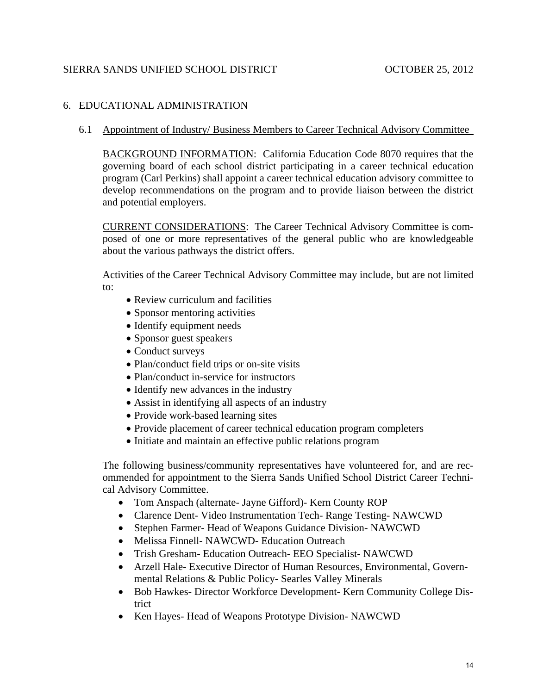# 6. EDUCATIONAL ADMINISTRATION

6.1 Appointment of Industry/ Business Members to Career Technical Advisory Committee

BACKGROUND INFORMATION: California Education Code 8070 requires that the governing board of each school district participating in a career technical education program (Carl Perkins) shall appoint a career technical education advisory committee to develop recommendations on the program and to provide liaison between the district and potential employers.

CURRENT CONSIDERATIONS: The Career Technical Advisory Committee is composed of one or more representatives of the general public who are knowledgeable about the various pathways the district offers.

Activities of the Career Technical Advisory Committee may include, but are not limited to:

- Review curriculum and facilities
- Sponsor mentoring activities
- Identify equipment needs
- Sponsor guest speakers
- Conduct surveys
- Plan/conduct field trips or on-site visits
- Plan/conduct in-service for instructors
- Identify new advances in the industry
- Assist in identifying all aspects of an industry
- Provide work-based learning sites
- Provide placement of career technical education program completers
- Initiate and maintain an effective public relations program

The following business/community representatives have volunteered for, and are recommended for appointment to the Sierra Sands Unified School District Career Technical Advisory Committee.

- Tom Anspach (alternate- Jayne Gifford)- Kern County ROP
- Clarence Dent- Video Instrumentation Tech- Range Testing- NAWCWD
- Stephen Farmer- Head of Weapons Guidance Division- NAWCWD
- Melissa Finnell- NAWCWD- Education Outreach
- Trish Gresham- Education Outreach- EEO Specialist- NAWCWD
- Arzell Hale- Executive Director of Human Resources, Environmental, Governmental Relations & Public Policy- Searles Valley Minerals
- Bob Hawkes- Director Workforce Development- Kern Community College District
- Ken Hayes- Head of Weapons Prototype Division- NAWCWD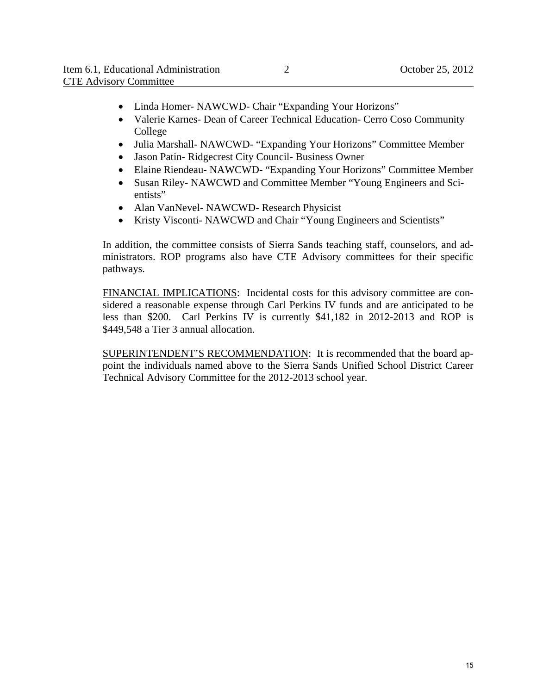- Linda Homer- NAWCWD- Chair "Expanding Your Horizons"
- Valerie Karnes- Dean of Career Technical Education- Cerro Coso Community College
- Julia Marshall- NAWCWD- "Expanding Your Horizons" Committee Member
- Jason Patin- Ridgecrest City Council- Business Owner
- Elaine Riendeau- NAWCWD- "Expanding Your Horizons" Committee Member
- Susan Riley- NAWCWD and Committee Member "Young Engineers and Scientists"
- Alan VanNevel- NAWCWD- Research Physicist
- Kristy Visconti- NAWCWD and Chair "Young Engineers and Scientists"

In addition, the committee consists of Sierra Sands teaching staff, counselors, and administrators. ROP programs also have CTE Advisory committees for their specific pathways.

FINANCIAL IMPLICATIONS: Incidental costs for this advisory committee are considered a reasonable expense through Carl Perkins IV funds and are anticipated to be less than \$200. Carl Perkins IV is currently \$41,182 in 2012-2013 and ROP is \$449,548 a Tier 3 annual allocation.

SUPERINTENDENT'S RECOMMENDATION: It is recommended that the board appoint the individuals named above to the Sierra Sands Unified School District Career Technical Advisory Committee for the 2012-2013 school year.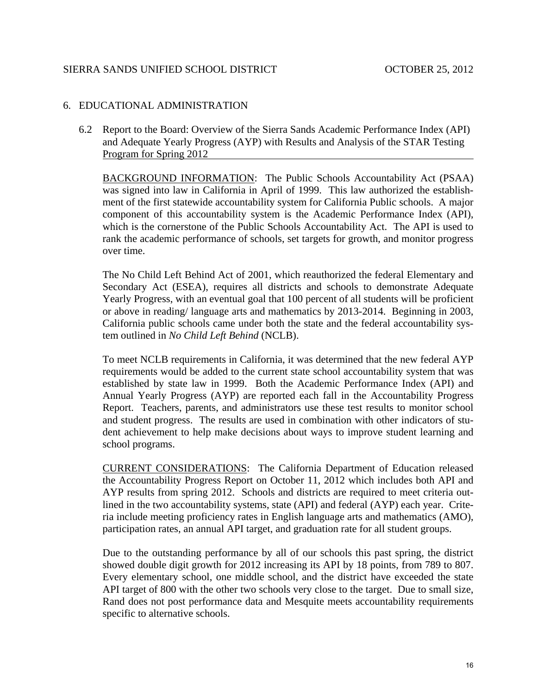## 6. EDUCATIONAL ADMINISTRATION

6.2 Report to the Board: Overview of the Sierra Sands Academic Performance Index (API) and Adequate Yearly Progress (AYP) with Results and Analysis of the STAR Testing Program for Spring 2012

BACKGROUND INFORMATION: The Public Schools Accountability Act (PSAA) was signed into law in California in April of 1999. This law authorized the establishment of the first statewide accountability system for California Public schools. A major component of this accountability system is the Academic Performance Index (API), which is the cornerstone of the Public Schools Accountability Act. The API is used to rank the academic performance of schools, set targets for growth, and monitor progress over time.

The No Child Left Behind Act of 2001, which reauthorized the federal Elementary and Secondary Act (ESEA), requires all districts and schools to demonstrate Adequate Yearly Progress, with an eventual goal that 100 percent of all students will be proficient or above in reading/ language arts and mathematics by 2013-2014. Beginning in 2003, California public schools came under both the state and the federal accountability system outlined in *No Child Left Behind* (NCLB).

To meet NCLB requirements in California, it was determined that the new federal AYP requirements would be added to the current state school accountability system that was established by state law in 1999. Both the Academic Performance Index (API) and Annual Yearly Progress (AYP) are reported each fall in the Accountability Progress Report. Teachers, parents, and administrators use these test results to monitor school and student progress. The results are used in combination with other indicators of student achievement to help make decisions about ways to improve student learning and school programs.

CURRENT CONSIDERATIONS: The California Department of Education released the Accountability Progress Report on October 11, 2012 which includes both API and AYP results from spring 2012. Schools and districts are required to meet criteria outlined in the two accountability systems, state (API) and federal (AYP) each year. Criteria include meeting proficiency rates in English language arts and mathematics (AMO), participation rates, an annual API target, and graduation rate for all student groups.

Due to the outstanding performance by all of our schools this past spring, the district showed double digit growth for 2012 increasing its API by 18 points, from 789 to 807. Every elementary school, one middle school, and the district have exceeded the state API target of 800 with the other two schools very close to the target. Due to small size, Rand does not post performance data and Mesquite meets accountability requirements specific to alternative schools.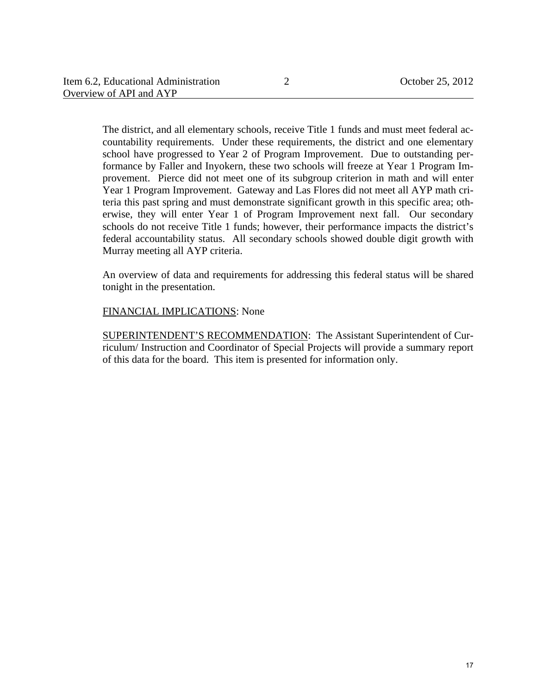The district, and all elementary schools, receive Title 1 funds and must meet federal accountability requirements. Under these requirements, the district and one elementary school have progressed to Year 2 of Program Improvement. Due to outstanding performance by Faller and Inyokern, these two schools will freeze at Year 1 Program Improvement. Pierce did not meet one of its subgroup criterion in math and will enter Year 1 Program Improvement. Gateway and Las Flores did not meet all AYP math criteria this past spring and must demonstrate significant growth in this specific area; otherwise, they will enter Year 1 of Program Improvement next fall. Our secondary schools do not receive Title 1 funds; however, their performance impacts the district's federal accountability status. All secondary schools showed double digit growth with Murray meeting all AYP criteria.

An overview of data and requirements for addressing this federal status will be shared tonight in the presentation.

## FINANCIAL IMPLICATIONS: None

SUPERINTENDENT'S RECOMMENDATION: The Assistant Superintendent of Curriculum/ Instruction and Coordinator of Special Projects will provide a summary report of this data for the board. This item is presented for information only.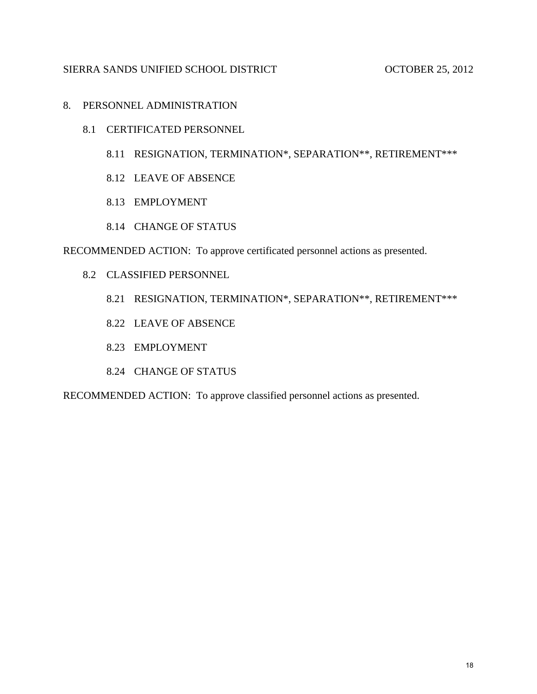## 8. PERSONNEL ADMINISTRATION

- 8.1 CERTIFICATED PERSONNEL
	- 8.11 RESIGNATION, TERMINATION\*, SEPARATION\*\*, RETIREMENT\*\*\*
	- 8.12 LEAVE OF ABSENCE
	- 8.13 EMPLOYMENT
	- 8.14 CHANGE OF STATUS

RECOMMENDED ACTION: To approve certificated personnel actions as presented.

- 8.2 CLASSIFIED PERSONNEL
	- 8.21 RESIGNATION, TERMINATION\*, SEPARATION\*\*, RETIREMENT\*\*\*
	- 8.22 LEAVE OF ABSENCE
	- 8.23 EMPLOYMENT
	- 8.24 CHANGE OF STATUS

RECOMMENDED ACTION: To approve classified personnel actions as presented.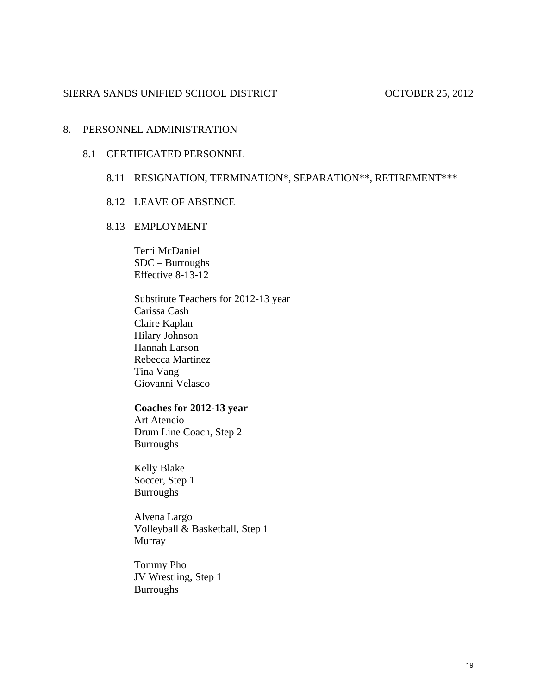### 8. PERSONNEL ADMINISTRATION

### 8.1 CERTIFICATED PERSONNEL

# 8.11 RESIGNATION, TERMINATION\*, SEPARATION\*\*, RETIREMENT\*\*\*

### 8.12 LEAVE OF ABSENCE

## 8.13 EMPLOYMENT

Terri McDaniel SDC – Burroughs Effective 8-13-12

 Substitute Teachers for 2012-13 year Carissa Cash Claire Kaplan Hilary Johnson Hannah Larson Rebecca Martinez Tina Vang Giovanni Velasco

### **Coaches for 2012-13 year**

 Art Atencio Drum Line Coach, Step 2 **Burroughs** 

 Kelly Blake Soccer, Step 1 Burroughs

 Alvena Largo Volleyball & Basketball, Step 1 Murray

 Tommy Pho JV Wrestling, Step 1 **Burroughs**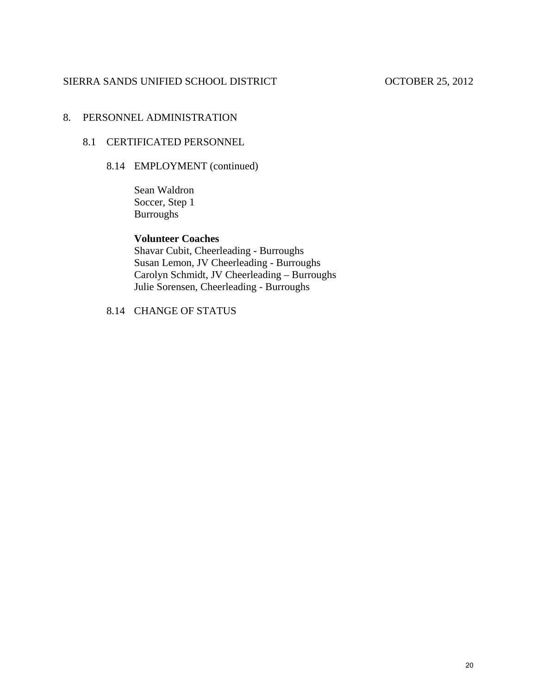# 8. PERSONNEL ADMINISTRATION

## 8.1 CERTIFICATED PERSONNEL

# 8.14 EMPLOYMENT (continued)

 Sean Waldron Soccer, Step 1 Burroughs

## **Volunteer Coaches**

 Shavar Cubit, Cheerleading - Burroughs Susan Lemon, JV Cheerleading - Burroughs Carolyn Schmidt, JV Cheerleading – Burroughs Julie Sorensen, Cheerleading - Burroughs

8.14 CHANGE OF STATUS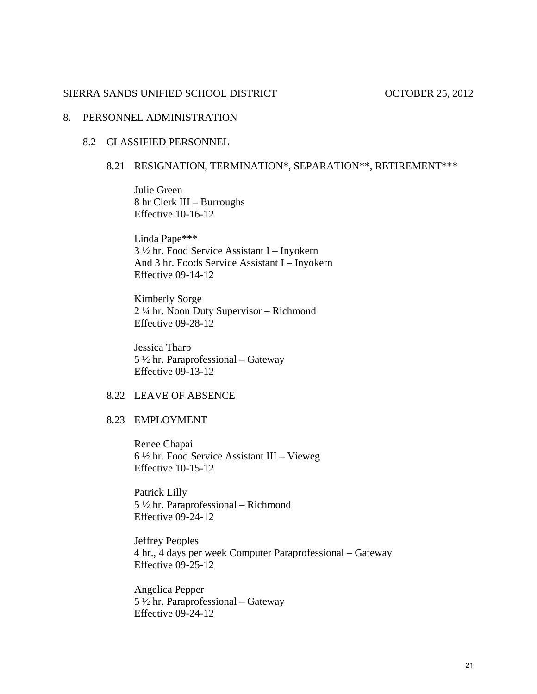## 8. PERSONNEL ADMINISTRATION

## 8.2 CLASSIFIED PERSONNEL

## 8.21 RESIGNATION, TERMINATION\*, SEPARATION\*\*, RETIREMENT\*\*\*

Julie Green 8 hr Clerk III – Burroughs Effective 10-16-12

Linda Pape\*\*\* 3 ½ hr. Food Service Assistant I – Inyokern And 3 hr. Foods Service Assistant I – Inyokern Effective 09-14-12

Kimberly Sorge 2 ¼ hr. Noon Duty Supervisor – Richmond Effective 09-28-12

Jessica Tharp 5 ½ hr. Paraprofessional – Gateway Effective 09-13-12

## 8.22 LEAVE OF ABSENCE

### 8.23 EMPLOYMENT

 Renee Chapai 6 ½ hr. Food Service Assistant III – Vieweg Effective 10-15-12

 Patrick Lilly 5 ½ hr. Paraprofessional – Richmond Effective 09-24-12

 Jeffrey Peoples 4 hr., 4 days per week Computer Paraprofessional – Gateway Effective 09-25-12

 Angelica Pepper 5 ½ hr. Paraprofessional – Gateway Effective 09-24-12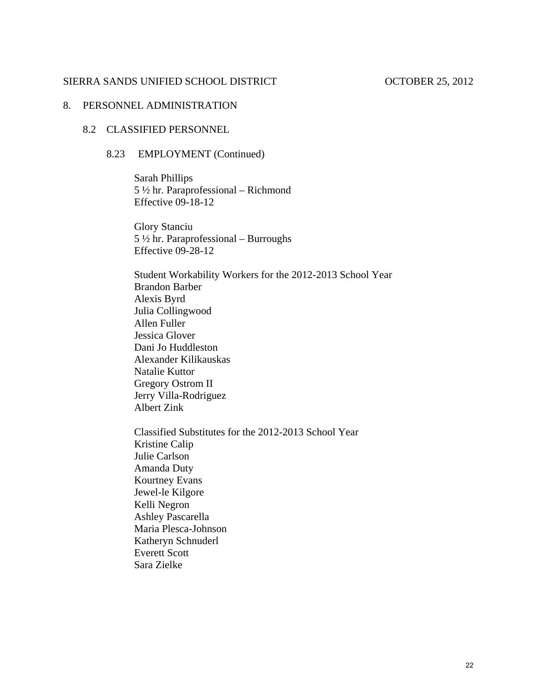# 8. PERSONNEL ADMINISTRATION

### 8.2 CLASSIFIED PERSONNEL

## 8.23 EMPLOYMENT (Continued)

 Sarah Phillips 5 ½ hr. Paraprofessional – Richmond Effective 09-18-12

 Glory Stanciu 5 ½ hr. Paraprofessional – Burroughs Effective 09-28-12

 Student Workability Workers for the 2012-2013 School Year Brandon Barber Alexis Byrd Julia Collingwood Allen Fuller Jessica Glover Dani Jo Huddleston Alexander Kilikauskas Natalie Kuttor Gregory Ostrom II Jerry Villa-Rodriguez Albert Zink

 Classified Substitutes for the 2012-2013 School Year Kristine Calip Julie Carlson Amanda Duty Kourtney Evans Jewel-le Kilgore Kelli Negron Ashley Pascarella Maria Plesca-Johnson Katheryn Schnuderl Everett Scott Sara Zielke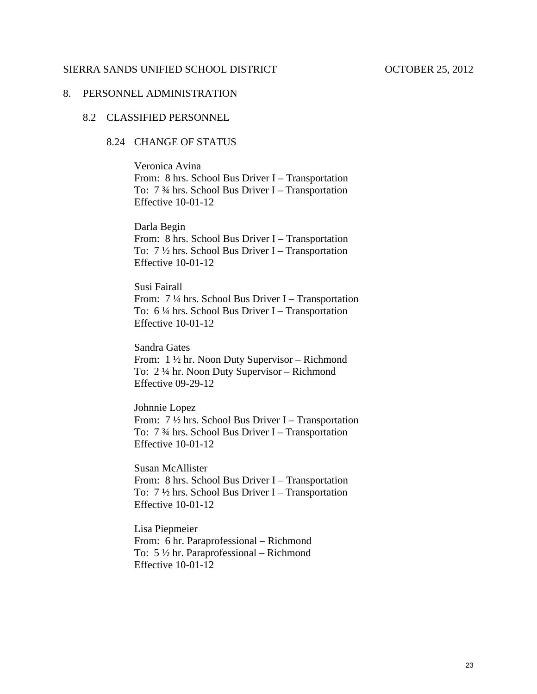### 8. PERSONNEL ADMINISTRATION

## 8.2 CLASSIFIED PERSONNEL

## 8.24 CHANGE OF STATUS

Veronica Avina From: 8 hrs. School Bus Driver I – Transportation To: 7 ¾ hrs. School Bus Driver I – Transportation Effective 10-01-12

Darla Begin From: 8 hrs. School Bus Driver I – Transportation To: 7 ½ hrs. School Bus Driver I – Transportation Effective 10-01-12

Susi Fairall From: 7 ¼ hrs. School Bus Driver I – Transportation To: 6 ¼ hrs. School Bus Driver I – Transportation Effective 10-01-12

Sandra Gates From: 1 ½ hr. Noon Duty Supervisor – Richmond To: 2 ¼ hr. Noon Duty Supervisor – Richmond Effective 09-29-12

Johnnie Lopez From: 7 ½ hrs. School Bus Driver I – Transportation To: 7 ¾ hrs. School Bus Driver I – Transportation Effective 10-01-12

Susan McAllister From: 8 hrs. School Bus Driver I – Transportation To:  $7\frac{1}{2}$  hrs. School Bus Driver I – Transportation Effective 10-01-12

Lisa Piepmeier From: 6 hr. Paraprofessional – Richmond To: 5 ½ hr. Paraprofessional – Richmond Effective 10-01-12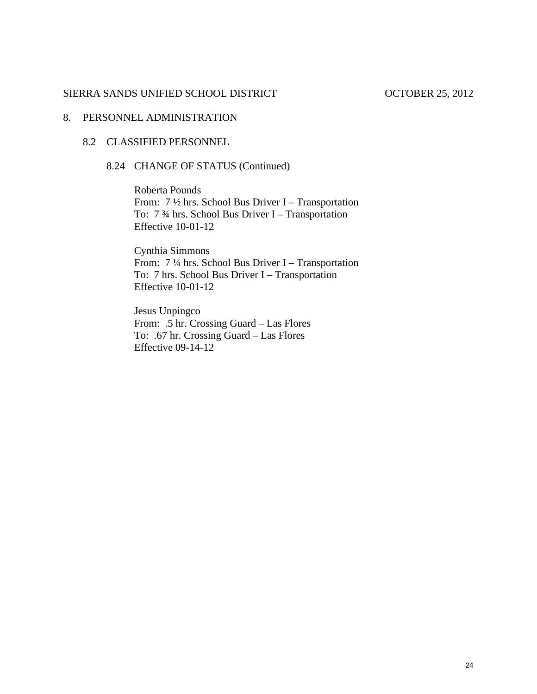# 8. PERSONNEL ADMINISTRATION

## 8.2 CLASSIFIED PERSONNEL

# 8.24 CHANGE OF STATUS (Continued)

Roberta Pounds From:  $7\frac{1}{2}$  hrs. School Bus Driver I – Transportation To: 7 ¾ hrs. School Bus Driver I – Transportation Effective 10-01-12

Cynthia Simmons From: 7 ¼ hrs. School Bus Driver I – Transportation To: 7 hrs. School Bus Driver I – Transportation Effective 10-01-12

Jesus Unpingco From: .5 hr. Crossing Guard – Las Flores To: .67 hr. Crossing Guard – Las Flores Effective 09-14-12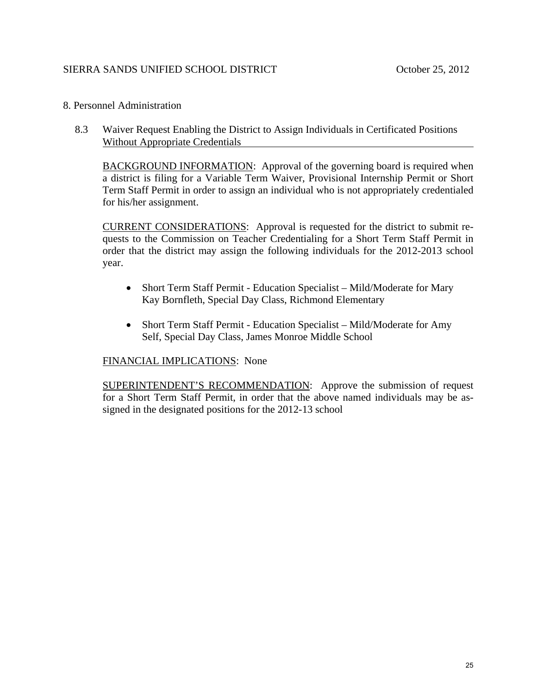# SIERRA SANDS UNIFIED SCHOOL DISTRICT October 25, 2012

### 8. Personnel Administration

8.3 Waiver Request Enabling the District to Assign Individuals in Certificated Positions Without Appropriate Credentials

BACKGROUND INFORMATION: Approval of the governing board is required when a district is filing for a Variable Term Waiver, Provisional Internship Permit or Short Term Staff Permit in order to assign an individual who is not appropriately credentialed for his/her assignment.

CURRENT CONSIDERATIONS: Approval is requested for the district to submit requests to the Commission on Teacher Credentialing for a Short Term Staff Permit in order that the district may assign the following individuals for the 2012-2013 school year.

- Short Term Staff Permit Education Specialist Mild/Moderate for Mary Kay Bornfleth, Special Day Class, Richmond Elementary
- Short Term Staff Permit Education Specialist Mild/Moderate for Amy Self, Special Day Class, James Monroe Middle School

## FINANCIAL IMPLICATIONS: None

SUPERINTENDENT'S RECOMMENDATION: Approve the submission of request for a Short Term Staff Permit, in order that the above named individuals may be assigned in the designated positions for the 2012-13 school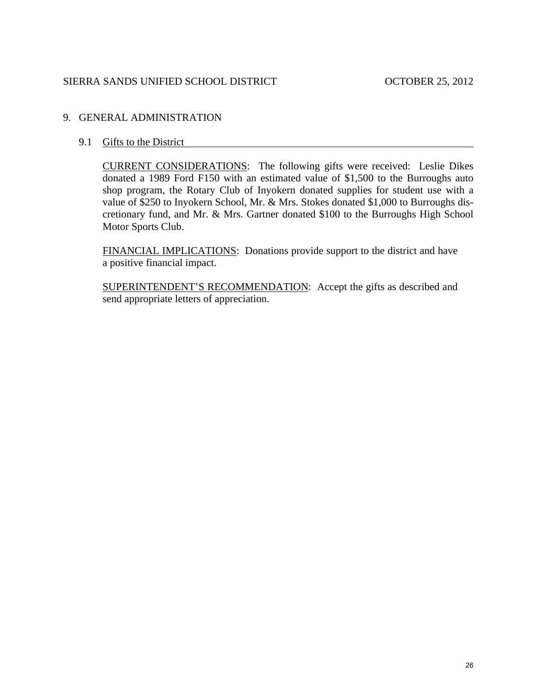## 9. GENERAL ADMINISTRATION

## 9.1 Gifts to the District

CURRENT CONSIDERATIONS: The following gifts were received: Leslie Dikes donated a 1989 Ford F150 with an estimated value of \$1,500 to the Burroughs auto shop program, the Rotary Club of Inyokern donated supplies for student use with a value of \$250 to Inyokern School, Mr. & Mrs. Stokes donated \$1,000 to Burroughs discretionary fund, and Mr. & Mrs. Gartner donated \$100 to the Burroughs High School Motor Sports Club.

FINANCIAL IMPLICATIONS: Donations provide support to the district and have a positive financial impact.

SUPERINTENDENT'S RECOMMENDATION: Accept the gifts as described and send appropriate letters of appreciation.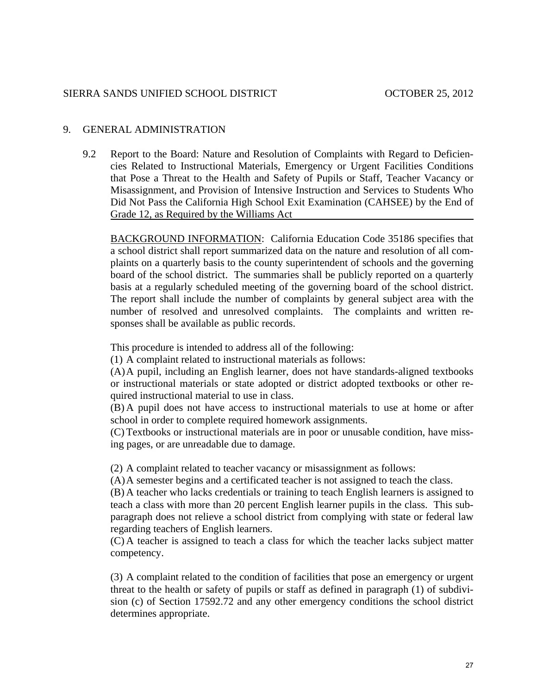## 9. GENERAL ADMINISTRATION

9.2 Report to the Board: Nature and Resolution of Complaints with Regard to Deficiencies Related to Instructional Materials, Emergency or Urgent Facilities Conditions that Pose a Threat to the Health and Safety of Pupils or Staff, Teacher Vacancy or Misassignment, and Provision of Intensive Instruction and Services to Students Who Did Not Pass the California High School Exit Examination (CAHSEE) by the End of Grade 12, as Required by the Williams Act

BACKGROUND INFORMATION: California Education Code 35186 specifies that a school district shall report summarized data on the nature and resolution of all complaints on a quarterly basis to the county superintendent of schools and the governing board of the school district. The summaries shall be publicly reported on a quarterly basis at a regularly scheduled meeting of the governing board of the school district. The report shall include the number of complaints by general subject area with the number of resolved and unresolved complaints. The complaints and written responses shall be available as public records.

This procedure is intended to address all of the following:

(1) A complaint related to instructional materials as follows:

(A) A pupil, including an English learner, does not have standards-aligned textbooks or instructional materials or state adopted or district adopted textbooks or other required instructional material to use in class.

(B) A pupil does not have access to instructional materials to use at home or after school in order to complete required homework assignments.

(C) Textbooks or instructional materials are in poor or unusable condition, have missing pages, or are unreadable due to damage.

(2) A complaint related to teacher vacancy or misassignment as follows:

(A) A semester begins and a certificated teacher is not assigned to teach the class.

(B) A teacher who lacks credentials or training to teach English learners is assigned to teach a class with more than 20 percent English learner pupils in the class. This subparagraph does not relieve a school district from complying with state or federal law regarding teachers of English learners.

(C) A teacher is assigned to teach a class for which the teacher lacks subject matter competency.

(3) A complaint related to the condition of facilities that pose an emergency or urgent threat to the health or safety of pupils or staff as defined in paragraph (1) of subdivision (c) of Section 17592.72 and any other emergency conditions the school district determines appropriate.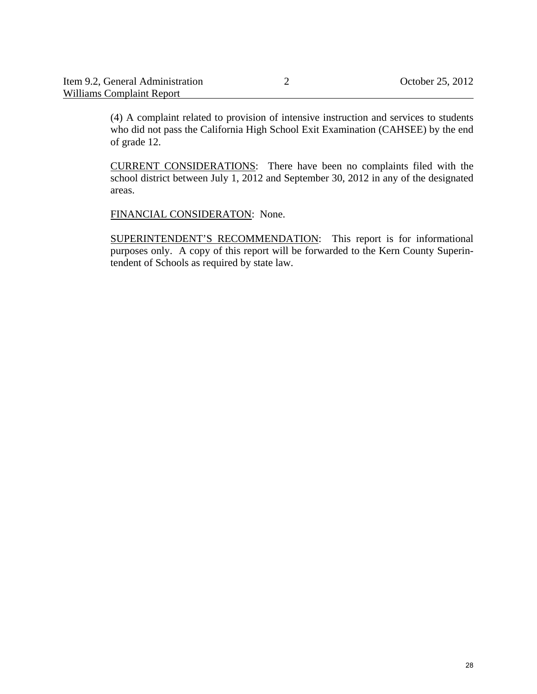| Item 9.2, General Administration | October 25, 2012 |
|----------------------------------|------------------|
| Williams Complaint Report        |                  |

(4) A complaint related to provision of intensive instruction and services to students who did not pass the California High School Exit Examination (CAHSEE) by the end of grade 12.

CURRENT CONSIDERATIONS: There have been no complaints filed with the school district between July 1, 2012 and September 30, 2012 in any of the designated areas.

FINANCIAL CONSIDERATON: None.

SUPERINTENDENT'S RECOMMENDATION: This report is for informational purposes only. A copy of this report will be forwarded to the Kern County Superintendent of Schools as required by state law.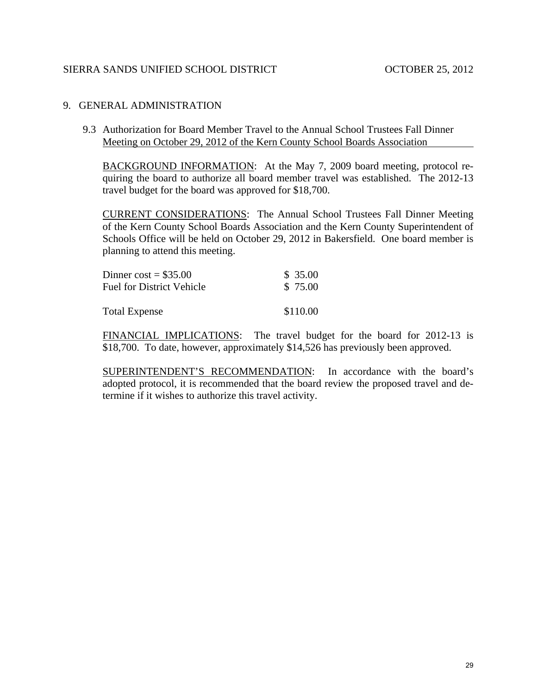## 9. GENERAL ADMINISTRATION

9.3 Authorization for Board Member Travel to the Annual School Trustees Fall Dinner Meeting on October 29, 2012 of the Kern County School Boards Association

BACKGROUND INFORMATION: At the May 7, 2009 board meeting, protocol requiring the board to authorize all board member travel was established. The 2012-13 travel budget for the board was approved for \$18,700.

CURRENT CONSIDERATIONS: The Annual School Trustees Fall Dinner Meeting of the Kern County School Boards Association and the Kern County Superintendent of Schools Office will be held on October 29, 2012 in Bakersfield. One board member is planning to attend this meeting.

| Dinner $cost = $35.00$           | \$35.00  |
|----------------------------------|----------|
| <b>Fuel for District Vehicle</b> | \$75.00  |
| <b>Total Expense</b>             | \$110.00 |

FINANCIAL IMPLICATIONS: The travel budget for the board for 2012-13 is \$18,700. To date, however, approximately \$14,526 has previously been approved.

SUPERINTENDENT'S RECOMMENDATION: In accordance with the board's adopted protocol, it is recommended that the board review the proposed travel and determine if it wishes to authorize this travel activity.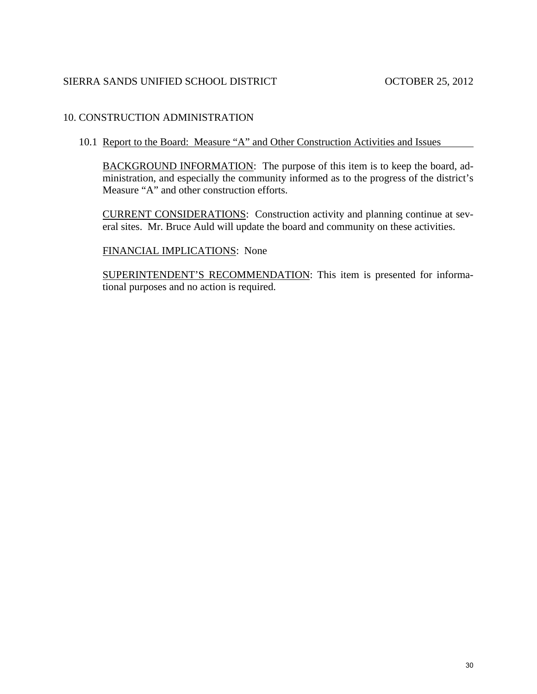## 10. CONSTRUCTION ADMINISTRATION

### 10.1 Report to the Board: Measure "A" and Other Construction Activities and Issues

BACKGROUND INFORMATION: The purpose of this item is to keep the board, administration, and especially the community informed as to the progress of the district's Measure "A" and other construction efforts.

CURRENT CONSIDERATIONS: Construction activity and planning continue at several sites. Mr. Bruce Auld will update the board and community on these activities.

### FINANCIAL IMPLICATIONS: None

SUPERINTENDENT'S RECOMMENDATION: This item is presented for informational purposes and no action is required.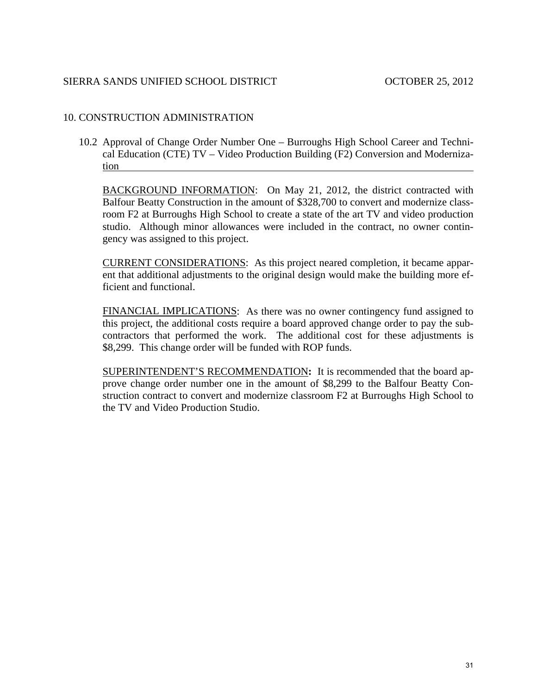## 10. CONSTRUCTION ADMINISTRATION

10.2 Approval of Change Order Number One – Burroughs High School Career and Technical Education (CTE) TV – Video Production Building (F2) Conversion and Modernization

BACKGROUND INFORMATION: On May 21, 2012, the district contracted with Balfour Beatty Construction in the amount of \$328,700 to convert and modernize classroom F2 at Burroughs High School to create a state of the art TV and video production studio. Although minor allowances were included in the contract, no owner contingency was assigned to this project.

CURRENT CONSIDERATIONS: As this project neared completion, it became apparent that additional adjustments to the original design would make the building more efficient and functional.

FINANCIAL IMPLICATIONS: As there was no owner contingency fund assigned to this project, the additional costs require a board approved change order to pay the subcontractors that performed the work. The additional cost for these adjustments is \$8,299. This change order will be funded with ROP funds.

SUPERINTENDENT'S RECOMMENDATION**:** It is recommended that the board approve change order number one in the amount of \$8,299 to the Balfour Beatty Construction contract to convert and modernize classroom F2 at Burroughs High School to the TV and Video Production Studio.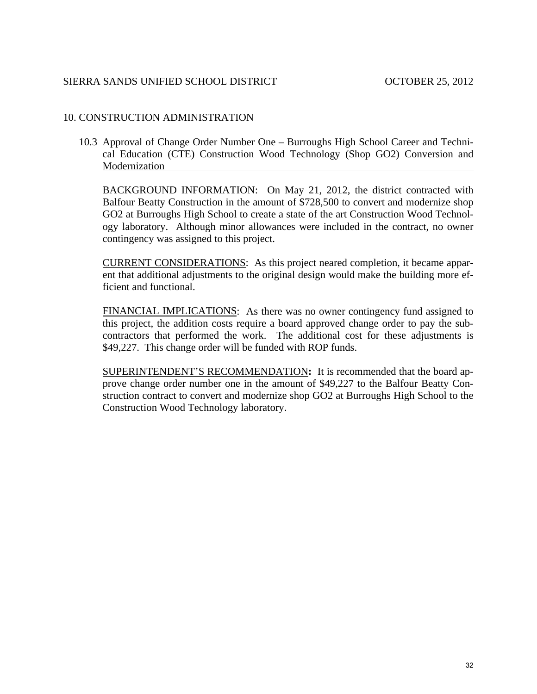## 10. CONSTRUCTION ADMINISTRATION

10.3 Approval of Change Order Number One – Burroughs High School Career and Technical Education (CTE) Construction Wood Technology (Shop GO2) Conversion and Modernization

BACKGROUND INFORMATION: On May 21, 2012, the district contracted with Balfour Beatty Construction in the amount of \$728,500 to convert and modernize shop GO2 at Burroughs High School to create a state of the art Construction Wood Technology laboratory. Although minor allowances were included in the contract, no owner contingency was assigned to this project.

CURRENT CONSIDERATIONS: As this project neared completion, it became apparent that additional adjustments to the original design would make the building more efficient and functional.

FINANCIAL IMPLICATIONS: As there was no owner contingency fund assigned to this project, the addition costs require a board approved change order to pay the subcontractors that performed the work. The additional cost for these adjustments is \$49,227. This change order will be funded with ROP funds.

SUPERINTENDENT'S RECOMMENDATION**:** It is recommended that the board approve change order number one in the amount of \$49,227 to the Balfour Beatty Construction contract to convert and modernize shop GO2 at Burroughs High School to the Construction Wood Technology laboratory.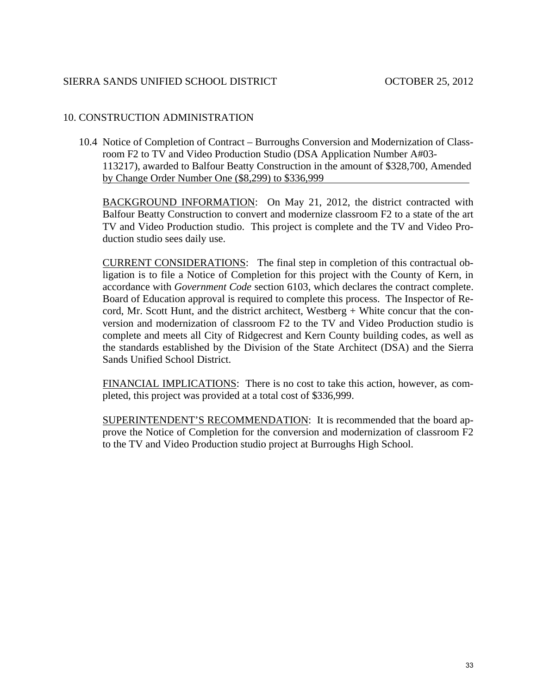# 10. CONSTRUCTION ADMINISTRATION

10.4 Notice of Completion of Contract – Burroughs Conversion and Modernization of Classroom F2 to TV and Video Production Studio (DSA Application Number A#03- 113217), awarded to Balfour Beatty Construction in the amount of \$328,700, Amended by Change Order Number One (\$8,299) to \$336,999

BACKGROUND INFORMATION: On May 21, 2012, the district contracted with Balfour Beatty Construction to convert and modernize classroom F2 to a state of the art TV and Video Production studio. This project is complete and the TV and Video Production studio sees daily use.

CURRENT CONSIDERATIONS: The final step in completion of this contractual obligation is to file a Notice of Completion for this project with the County of Kern, in accordance with *Government Code* section 6103, which declares the contract complete. Board of Education approval is required to complete this process. The Inspector of Record, Mr. Scott Hunt, and the district architect, Westberg + White concur that the conversion and modernization of classroom F2 to the TV and Video Production studio is complete and meets all City of Ridgecrest and Kern County building codes, as well as the standards established by the Division of the State Architect (DSA) and the Sierra Sands Unified School District.

FINANCIAL IMPLICATIONS: There is no cost to take this action, however, as completed, this project was provided at a total cost of \$336,999.

SUPERINTENDENT'S RECOMMENDATION: It is recommended that the board approve the Notice of Completion for the conversion and modernization of classroom F2 to the TV and Video Production studio project at Burroughs High School.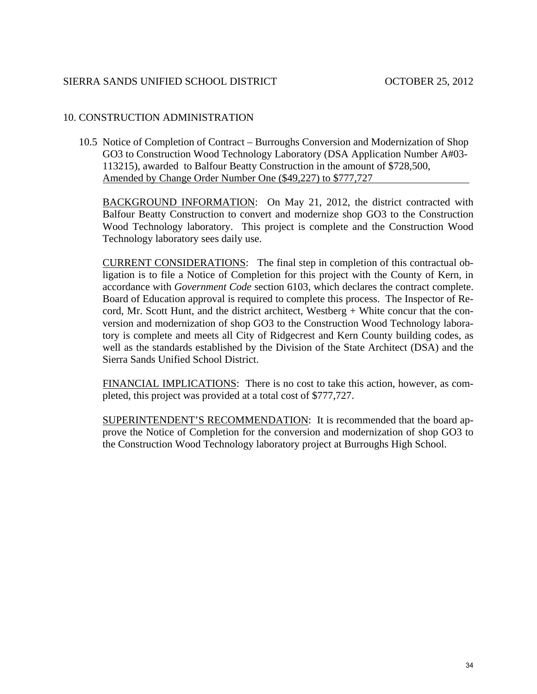# 10. CONSTRUCTION ADMINISTRATION

10.5 Notice of Completion of Contract – Burroughs Conversion and Modernization of Shop GO3 to Construction Wood Technology Laboratory (DSA Application Number A#03- 113215), awarded to Balfour Beatty Construction in the amount of \$728,500, Amended by Change Order Number One (\$49,227) to \$777,727

BACKGROUND INFORMATION: On May 21, 2012, the district contracted with Balfour Beatty Construction to convert and modernize shop GO3 to the Construction Wood Technology laboratory. This project is complete and the Construction Wood Technology laboratory sees daily use.

CURRENT CONSIDERATIONS: The final step in completion of this contractual obligation is to file a Notice of Completion for this project with the County of Kern, in accordance with *Government Code* section 6103, which declares the contract complete. Board of Education approval is required to complete this process. The Inspector of Record, Mr. Scott Hunt, and the district architect, Westberg + White concur that the conversion and modernization of shop GO3 to the Construction Wood Technology laboratory is complete and meets all City of Ridgecrest and Kern County building codes, as well as the standards established by the Division of the State Architect (DSA) and the Sierra Sands Unified School District.

FINANCIAL IMPLICATIONS: There is no cost to take this action, however, as completed, this project was provided at a total cost of \$777,727.

SUPERINTENDENT'S RECOMMENDATION: It is recommended that the board approve the Notice of Completion for the conversion and modernization of shop GO3 to the Construction Wood Technology laboratory project at Burroughs High School.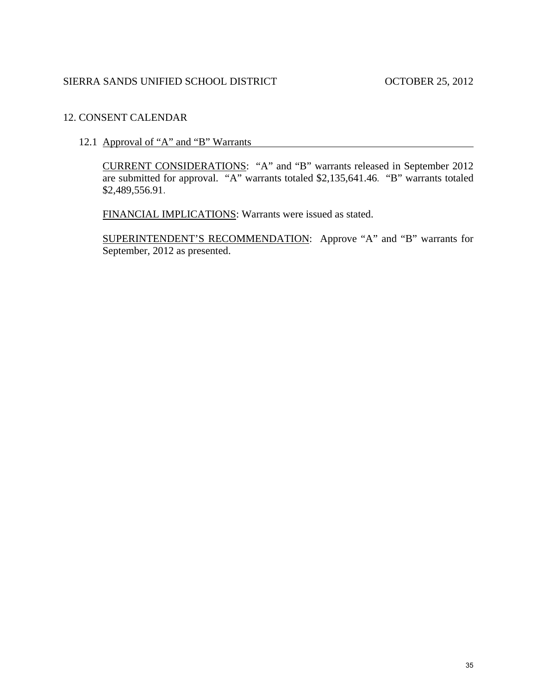# 12. CONSENT CALENDAR

12.1 Approval of "A" and "B" Warrants

CURRENT CONSIDERATIONS: "A" and "B" warrants released in September 2012 are submitted for approval. "A" warrants totaled \$2,135,641.46. "B" warrants totaled \$2,489,556.91.

FINANCIAL IMPLICATIONS: Warrants were issued as stated.

SUPERINTENDENT'S RECOMMENDATION: Approve "A" and "B" warrants for September, 2012 as presented.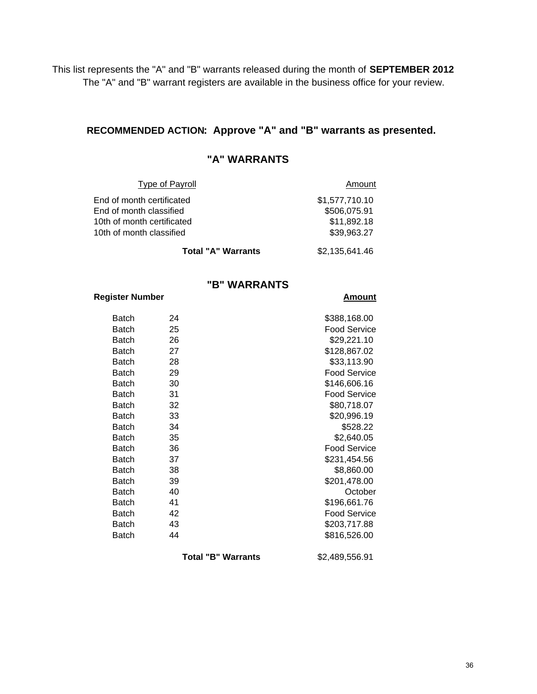This list represents the "A" and "B" warrants released during the month of **SEPTEMBER 2012** The "A" and "B" warrant registers are available in the business office for your review.

### **RECOMMENDED ACTION: Approve "A" and "B" warrants as presented.**

## **"A" WARRANTS**

| Type of Payroll            | Amount         |
|----------------------------|----------------|
| End of month certificated  | \$1,577,710.10 |
| End of month classified    | \$506,075.91   |
| 10th of month certificated | \$11,892.18    |
| 10th of month classified   | \$39,963.27    |
| Total "A" Warrants         | \$2,135,641.46 |

### **"B" WARRANTS**

#### **Register Number Amount**

### Batch 24 \$388,168.00 Batch 25 and 25 Food Service Batch 26 \$29,221.10 Batch 27 \$128,867.02 Batch 28 \$33,113.90 Batch 29 Food Service Batch 30 \$146,606.16 Batch 31 31 Food Service Batch 32 \$80,718.07 Batch 33 \$20,996.19 Batch 34 \$528.22 Batch 35 \$2,640.05 Batch 36 36 Food Service Batch 37 \$231,454.56 Batch 38 \$8,860.00 Batch 39 \$201,478.00 Batch 40 Corober Batch 41 \$196,661.76 Batch 42 Food Service Batch 43 \$203,717.88 Batch 44 \$816,526.00

**Total "B" Warrants** \$2,489,556.91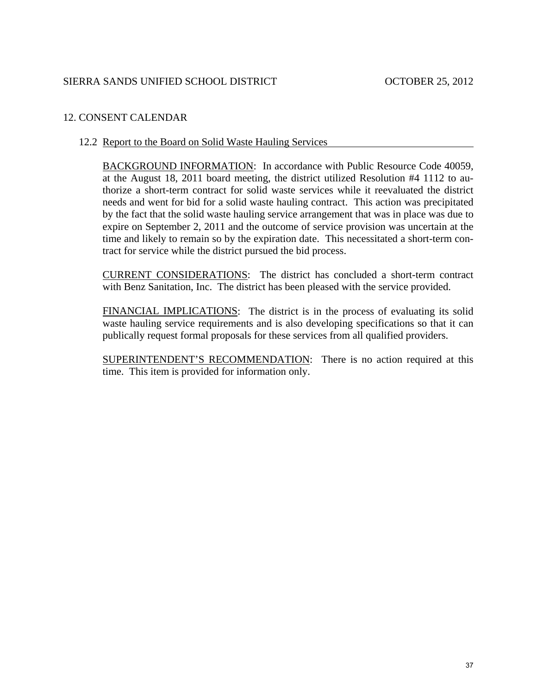# 12. CONSENT CALENDAR

## 12.2 Report to the Board on Solid Waste Hauling Services

BACKGROUND INFORMATION: In accordance with Public Resource Code 40059, at the August 18, 2011 board meeting, the district utilized Resolution #4 1112 to authorize a short-term contract for solid waste services while it reevaluated the district needs and went for bid for a solid waste hauling contract. This action was precipitated by the fact that the solid waste hauling service arrangement that was in place was due to expire on September 2, 2011 and the outcome of service provision was uncertain at the time and likely to remain so by the expiration date. This necessitated a short-term contract for service while the district pursued the bid process.

CURRENT CONSIDERATIONS: The district has concluded a short-term contract with Benz Sanitation, Inc. The district has been pleased with the service provided.

FINANCIAL IMPLICATIONS: The district is in the process of evaluating its solid waste hauling service requirements and is also developing specifications so that it can publically request formal proposals for these services from all qualified providers.

SUPERINTENDENT'S RECOMMENDATION: There is no action required at this time. This item is provided for information only.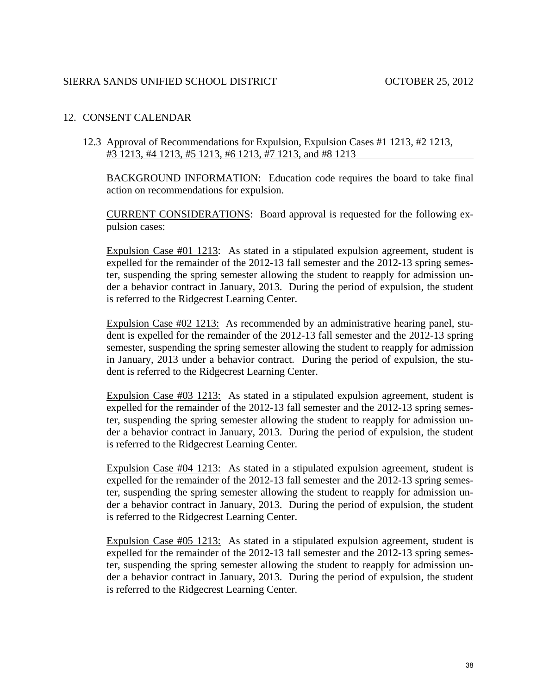## 12. CONSENT CALENDAR

12.3 Approval of Recommendations for Expulsion, Expulsion Cases #1 1213, #2 1213, #3 1213, #4 1213, #5 1213, #6 1213, #7 1213, and #8 1213

BACKGROUND INFORMATION: Education code requires the board to take final action on recommendations for expulsion.

CURRENT CONSIDERATIONS: Board approval is requested for the following expulsion cases:

Expulsion Case #01 1213: As stated in a stipulated expulsion agreement, student is expelled for the remainder of the 2012-13 fall semester and the 2012-13 spring semester, suspending the spring semester allowing the student to reapply for admission under a behavior contract in January, 2013. During the period of expulsion, the student is referred to the Ridgecrest Learning Center.

Expulsion Case #02 1213: As recommended by an administrative hearing panel, student is expelled for the remainder of the 2012-13 fall semester and the 2012-13 spring semester, suspending the spring semester allowing the student to reapply for admission in January, 2013 under a behavior contract. During the period of expulsion, the student is referred to the Ridgecrest Learning Center.

Expulsion Case #03 1213: As stated in a stipulated expulsion agreement, student is expelled for the remainder of the 2012-13 fall semester and the 2012-13 spring semester, suspending the spring semester allowing the student to reapply for admission under a behavior contract in January, 2013. During the period of expulsion, the student is referred to the Ridgecrest Learning Center.

Expulsion Case #04 1213: As stated in a stipulated expulsion agreement, student is expelled for the remainder of the 2012-13 fall semester and the 2012-13 spring semester, suspending the spring semester allowing the student to reapply for admission under a behavior contract in January, 2013. During the period of expulsion, the student is referred to the Ridgecrest Learning Center.

Expulsion Case #05 1213: As stated in a stipulated expulsion agreement, student is expelled for the remainder of the 2012-13 fall semester and the 2012-13 spring semester, suspending the spring semester allowing the student to reapply for admission under a behavior contract in January, 2013. During the period of expulsion, the student is referred to the Ridgecrest Learning Center.